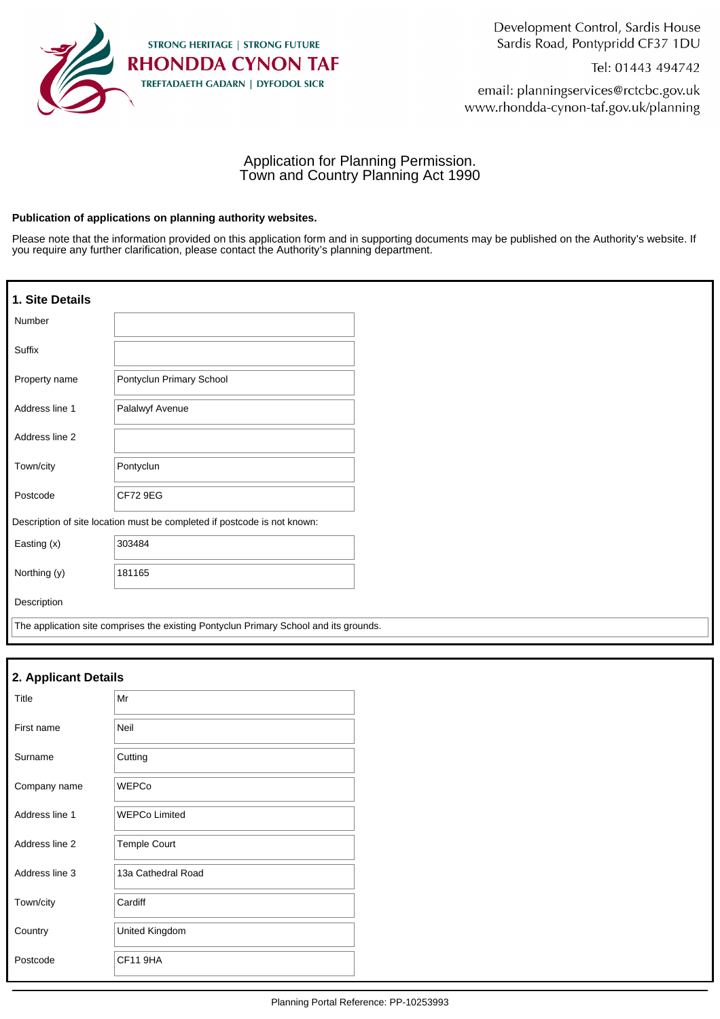

Development Control, Sardis House Sardis Road, Pontypridd CF37 1DU

Tel: 01443 494742

email: planningservices@rctcbc.gov.uk www.rhondda-cynon-taf.gov.uk/planning

## Application for Planning Permission. Town and Country Planning Act 1990

#### **Publication of applications on planning authority websites.**

Please note that the information provided on this application form and in supporting documents may be published on the Authority's website. If you require any further clarification, please contact the Authority's planning department.

| 1. Site Details                                                          |                                                                                       |  |
|--------------------------------------------------------------------------|---------------------------------------------------------------------------------------|--|
| Number                                                                   |                                                                                       |  |
| Suffix                                                                   |                                                                                       |  |
| Property name                                                            | Pontyclun Primary School                                                              |  |
| Address line 1                                                           | Palalwyf Avenue                                                                       |  |
| Address line 2                                                           |                                                                                       |  |
| Town/city                                                                | Pontyclun                                                                             |  |
| Postcode                                                                 | <b>CF72 9EG</b>                                                                       |  |
| Description of site location must be completed if postcode is not known: |                                                                                       |  |
| Easting (x)                                                              | 303484                                                                                |  |
| Northing (y)                                                             | 181165                                                                                |  |
| Description                                                              |                                                                                       |  |
|                                                                          | The application site comprises the existing Pontyclun Primary School and its grounds. |  |

| 2. Applicant Details |                      |  |
|----------------------|----------------------|--|
| Title                | Mr                   |  |
| First name           | Neil                 |  |
| Surname              | Cutting              |  |
| Company name         | <b>WEPCo</b>         |  |
| Address line 1       | <b>WEPCo Limited</b> |  |
| Address line 2       | <b>Temple Court</b>  |  |
| Address line 3       | 13a Cathedral Road   |  |
| Town/city            | Cardiff              |  |
| Country              | United Kingdom       |  |
| Postcode             | <b>CF11 9HA</b>      |  |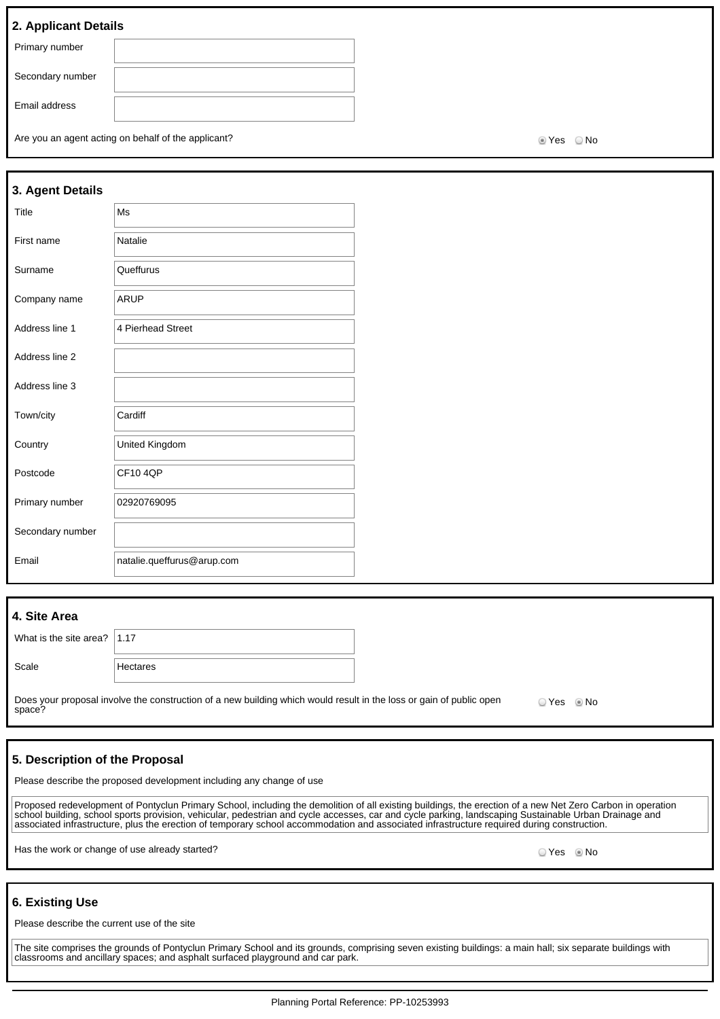## **2. Applicant Details**

| Primary number   |  |
|------------------|--|
|                  |  |
| Secondary number |  |
|                  |  |
|                  |  |
| Email address    |  |
|                  |  |
|                  |  |

Are you an agent acting on behalf of the applicant? Are you are set of the No Yes No

| 3. Agent Details |                            |  |
|------------------|----------------------------|--|
| Title            | Ms                         |  |
| First name       | Natalie                    |  |
| Surname          | Queffurus                  |  |
| Company name     | ARUP                       |  |
| Address line 1   | 4 Pierhead Street          |  |
| Address line 2   |                            |  |
| Address line 3   |                            |  |
| Town/city        | Cardiff                    |  |
| Country          | United Kingdom             |  |
| Postcode         | <b>CF104OP</b>             |  |
| Primary number   | 02920769095                |  |
| Secondary number |                            |  |
| Email            | natalie.queffurus@arup.com |  |

| 4. Site Area                                                                                                                               |          |  |  |
|--------------------------------------------------------------------------------------------------------------------------------------------|----------|--|--|
| What is the site area? $ 1.17$                                                                                                             |          |  |  |
| Scale                                                                                                                                      | Hectares |  |  |
| Does your proposal involve the construction of a new building which would result in the loss or gain of public open<br>space?<br>$OYes$ Mo |          |  |  |

### **5. Description of the Proposal**

Please describe the proposed development including any change of use

Proposed redevelopment of Pontyclun Primary School, including the demolition of all existing buildings, the erection of a new Net Zero Carbon in operation school building, school sports provision, vehicular, pedestrian and cycle accesses, car and cycle parking, landscaping Sustainable Urban Drainage and associated infrastructure, plus the erection of temporary school accommodation and associated infrastructure required during construction.

Has the work or change of use already started? All the state of the state of the state of the Society of No No

#### **6. Existing Use**

Please describe the current use of the site

The site comprises the grounds of Pontyclun Primary School and its grounds, comprising seven existing buildings: a main hall; six separate buildings with classrooms and ancillary spaces; and asphalt surfaced playground and car park.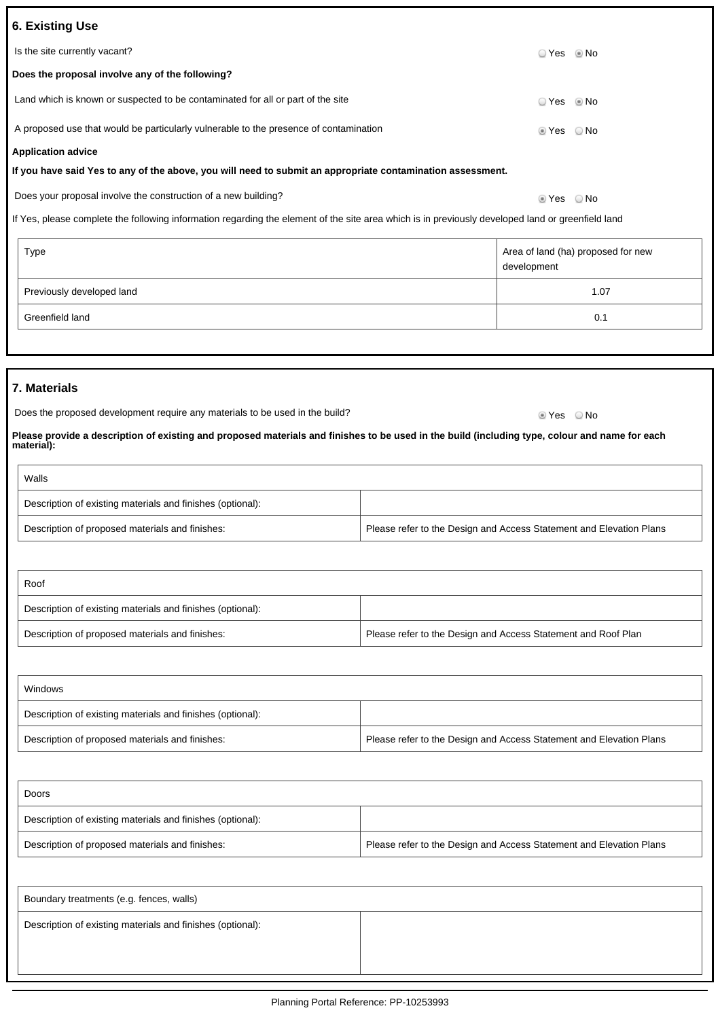| <b>6. Existing Use</b>                                                                                     |            |      |  |
|------------------------------------------------------------------------------------------------------------|------------|------|--|
| Is the site currently vacant?                                                                              | ⊙ Yes ⊚ No |      |  |
| Does the proposal involve any of the following?                                                            |            |      |  |
| Land which is known or suspected to be contaminated for all or part of the site                            | ⊙ Yes ◎ No |      |  |
| A proposed use that would be particularly vulnerable to the presence of contamination                      | ◉ Yes      | ⊙ No |  |
| <b>Application advice</b>                                                                                  |            |      |  |
| If you have said Yes to any of the above, you will need to submit an appropriate contamination assessment. |            |      |  |
| Does your proposal involve the construction of a new building?                                             | t Yes ⊚    | ⊙ No |  |

If Yes, please complete the following information regarding the element of the site area which is in previously developed land or greenfield land

| Type                      | Area of land (ha) proposed for new<br>development |
|---------------------------|---------------------------------------------------|
| Previously developed land | 1.07                                              |
| Greenfield land           | 0.1                                               |

### **7. Materials**

| Does the proposed development require any materials to be used in the build? | ® Yes     © No |  |
|------------------------------------------------------------------------------|----------------|--|
|                                                                              |                |  |

**Please provide a description of existing and proposed materials and finishes to be used in the build (including type, colour and name for each material):**

| Walls                                                      |                                                                     |
|------------------------------------------------------------|---------------------------------------------------------------------|
| Description of existing materials and finishes (optional): |                                                                     |
| Description of proposed materials and finishes:            | Please refer to the Design and Access Statement and Elevation Plans |

| Roof                                                       |                                                               |
|------------------------------------------------------------|---------------------------------------------------------------|
| Description of existing materials and finishes (optional): |                                                               |
| Description of proposed materials and finishes:            | Please refer to the Design and Access Statement and Roof Plan |

| Windows                                                    |                                                                     |  |
|------------------------------------------------------------|---------------------------------------------------------------------|--|
| Description of existing materials and finishes (optional): |                                                                     |  |
| Description of proposed materials and finishes:            | Please refer to the Design and Access Statement and Elevation Plans |  |

| Doors                                                      |                                                                     |
|------------------------------------------------------------|---------------------------------------------------------------------|
| Description of existing materials and finishes (optional): |                                                                     |
| Description of proposed materials and finishes:            | Please refer to the Design and Access Statement and Elevation Plans |

| Boundary treatments (e.g. fences, walls)                   |  |
|------------------------------------------------------------|--|
| Description of existing materials and finishes (optional): |  |
|                                                            |  |
|                                                            |  |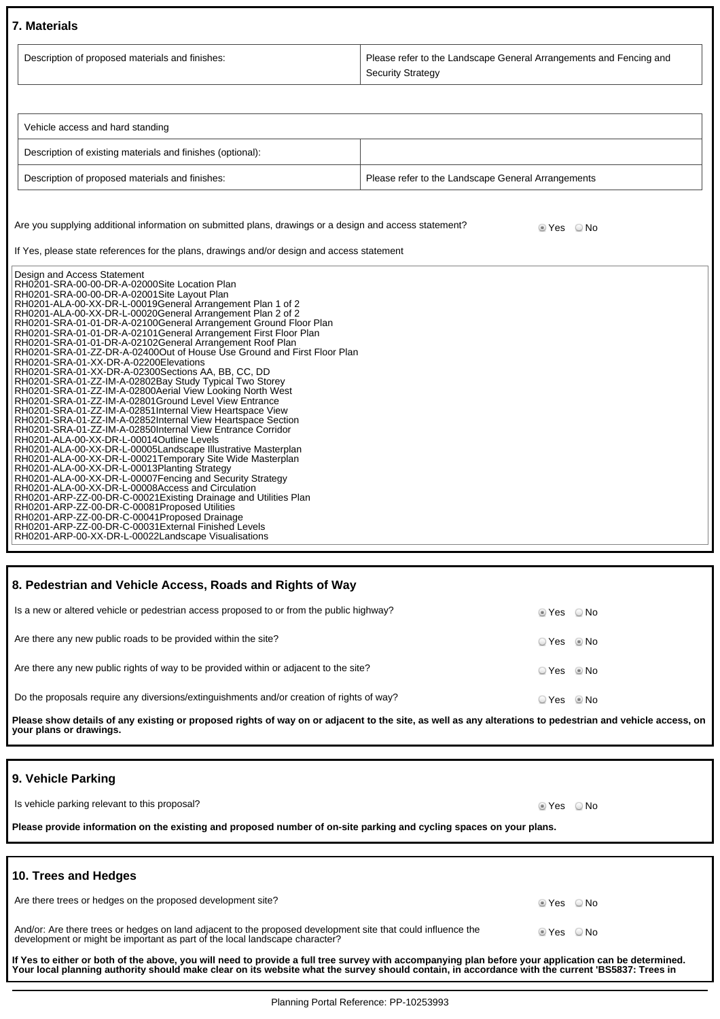## **7. Materials**

| Description of proposed materials and finishes:                                                                                                                                                                                                                                                                                                                                                                                                                                                                                                                                                                                                                                                                                                                                                                                                                                                                                                                                                                                                                                                                                                                                                                                                                                                                                                                                                                                                                                                                                                                                                               | Please refer to the Landscape General Arrangements and Fencing and<br><b>Security Strategy</b> |  |  |
|---------------------------------------------------------------------------------------------------------------------------------------------------------------------------------------------------------------------------------------------------------------------------------------------------------------------------------------------------------------------------------------------------------------------------------------------------------------------------------------------------------------------------------------------------------------------------------------------------------------------------------------------------------------------------------------------------------------------------------------------------------------------------------------------------------------------------------------------------------------------------------------------------------------------------------------------------------------------------------------------------------------------------------------------------------------------------------------------------------------------------------------------------------------------------------------------------------------------------------------------------------------------------------------------------------------------------------------------------------------------------------------------------------------------------------------------------------------------------------------------------------------------------------------------------------------------------------------------------------------|------------------------------------------------------------------------------------------------|--|--|
|                                                                                                                                                                                                                                                                                                                                                                                                                                                                                                                                                                                                                                                                                                                                                                                                                                                                                                                                                                                                                                                                                                                                                                                                                                                                                                                                                                                                                                                                                                                                                                                                               |                                                                                                |  |  |
| Vehicle access and hard standing                                                                                                                                                                                                                                                                                                                                                                                                                                                                                                                                                                                                                                                                                                                                                                                                                                                                                                                                                                                                                                                                                                                                                                                                                                                                                                                                                                                                                                                                                                                                                                              |                                                                                                |  |  |
| Description of existing materials and finishes (optional):                                                                                                                                                                                                                                                                                                                                                                                                                                                                                                                                                                                                                                                                                                                                                                                                                                                                                                                                                                                                                                                                                                                                                                                                                                                                                                                                                                                                                                                                                                                                                    |                                                                                                |  |  |
| Description of proposed materials and finishes:                                                                                                                                                                                                                                                                                                                                                                                                                                                                                                                                                                                                                                                                                                                                                                                                                                                                                                                                                                                                                                                                                                                                                                                                                                                                                                                                                                                                                                                                                                                                                               | Please refer to the Landscape General Arrangements                                             |  |  |
| Are you supplying additional information on submitted plans, drawings or a design and access statement?<br>If Yes, please state references for the plans, drawings and/or design and access statement<br>Design and Access Statement                                                                                                                                                                                                                                                                                                                                                                                                                                                                                                                                                                                                                                                                                                                                                                                                                                                                                                                                                                                                                                                                                                                                                                                                                                                                                                                                                                          | ie Yes i O No                                                                                  |  |  |
| RH0201-SRA-00-00-DR-A-02000Site Location Plan<br>RH0201-SRA-00-00-DR-A-02001Site Layout Plan<br>RH0201-ALA-00-XX-DR-L-00019General Arrangement Plan 1 of 2<br>RH0201-ALA-00-XX-DR-L-00020General Arrangement Plan 2 of 2<br>RH0201-SRA-01-01-DR-A-02100General Arrangement Ground Floor Plan<br>RH0201-SRA-01-01-DR-A-02101General Arrangement First Floor Plan<br>RH0201-SRA-01-01-DR-A-02102General Arrangement Roof Plan<br>RH0201-SRA-01-ZZ-DR-A-02400Out of House Use Ground and First Floor Plan<br>RH0201-SRA-01-XX-DR-A-02200Elevations<br>RH0201-SRA-01-XX-DR-A-02300Sections AA, BB, CC, DD<br>RH0201-SRA-01-ZZ-IM-A-02802Bay Study Typical Two Storey<br>RH0201-SRA-01-ZZ-IM-A-02800Aerial View Looking North West<br>RH0201-SRA-01-ZZ-IM-A-02801Ground Level View Entrance<br>RH0201-SRA-01-ZZ-IM-A-02851Internal View Heartspace View<br>RH0201-SRA-01-ZZ-IM-A-02852Internal View Heartspace Section<br>RH0201-SRA-01-ZZ-IM-A-02850Internal View Entrance Corridor<br>RH0201-ALA-00-XX-DR-L-00014Outline Levels<br>RH0201-ALA-00-XX-DR-L-00005Landscape Illustrative Masterplan<br>RH0201-ALA-00-XX-DR-L-00021Temporary Site Wide Masterplan<br>RH0201-ALA-00-XX-DR-L-00013Planting Strategy<br>RH0201-ALA-00-XX-DR-L-00007Fencing and Security Strategy<br>RH0201-ALA-00-XX-DR-L-00008Access and Circulation<br>RH0201-ARP-ZZ-00-DR-C-00021 Existing Drainage and Utilities Plan<br>RH0201-ARP-ZZ-00-DR-C-00081Proposed Utilities<br>RH0201-ARP-ZZ-00-DR-C-00041Proposed Drainage<br>RH0201-ARP-ZZ-00-DR-C-00031External Finished Levels<br>RH0201-ARP-00-XX-DR-L-00022Landscape Visualisations |                                                                                                |  |  |

### **8. Pedestrian and Vehicle Access, Roads and Rights of Way**

| Is a new or altered vehicle or pedestrian access proposed to or from the public highway?  | tes ONo                |  |
|-------------------------------------------------------------------------------------------|------------------------|--|
| Are there any new public roads to be provided within the site?                            | $\circ$ Yes $\circ$ No |  |
| Are there any new public rights of way to be provided within or adjacent to the site?     | $\circ$ Yes $\circ$ No |  |
| Do the proposals require any diversions/extinguishments and/or creation of rights of way? | ⊙ Yes © No             |  |

**Please show details of any existing or proposed rights of way on or adjacent to the site, as well as any alterations to pedestrian and vehicle access, on your plans or drawings.**

### **9. Vehicle Parking**

| Is vehicle parking relevant to this proposal?                                                                       | lier Ves i ONo |  |  |
|---------------------------------------------------------------------------------------------------------------------|----------------|--|--|
| Please provide information on the existing and proposed number of on-site parking and cycling spaces on your plans. |                |  |  |
|                                                                                                                     |                |  |  |

| 10. Trees and Hedges                                                                                                                                                                        |            |  |
|---------------------------------------------------------------------------------------------------------------------------------------------------------------------------------------------|------------|--|
| Are there trees or hedges on the proposed development site?                                                                                                                                 | ◎ Yes ◎ No |  |
| And/or: Are there trees or hedges on land adjacent to the proposed development site that could influence the<br>development or might be important as part of the local landscape character? | lier ∧o No |  |
| If Yes to either or both of the above, you will need to provide a full tree survey with accompanying plan before your application can be determined.                                        |            |  |

**Your local planning authority should make clear on its website what the survey should contain, in accordance with the current 'BS5837: Trees in**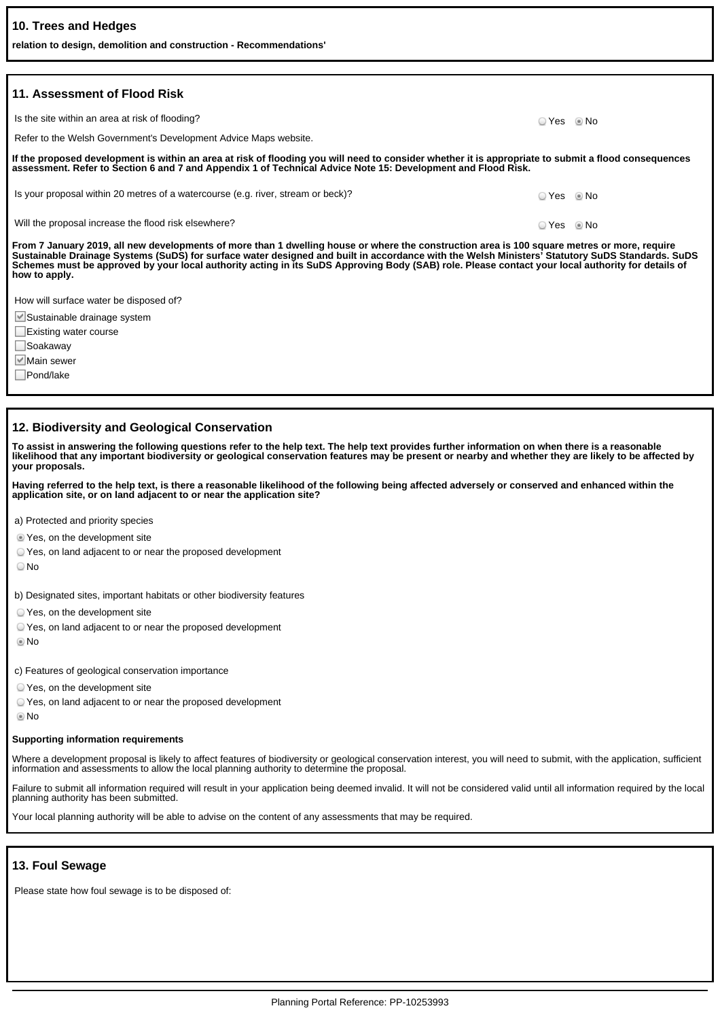| 10. Trees and Hedges<br>relation to design, demolition and construction - Recommendations'                                                                                                                                                                                                                                                                                                                                                                            |            |  |
|-----------------------------------------------------------------------------------------------------------------------------------------------------------------------------------------------------------------------------------------------------------------------------------------------------------------------------------------------------------------------------------------------------------------------------------------------------------------------|------------|--|
|                                                                                                                                                                                                                                                                                                                                                                                                                                                                       |            |  |
| 11. Assessment of Flood Risk                                                                                                                                                                                                                                                                                                                                                                                                                                          |            |  |
| Is the site within an area at risk of flooding?                                                                                                                                                                                                                                                                                                                                                                                                                       | ○ Yes ◎ No |  |
| Refer to the Welsh Government's Development Advice Maps website.                                                                                                                                                                                                                                                                                                                                                                                                      |            |  |
| If the proposed development is within an area at risk of flooding you will need to consider whether it is appropriate to submit a flood consequences<br>assessment. Refer to Section 6 and 7 and Appendix 1 of Technical Advice Note 15: Development and Flood Risk.                                                                                                                                                                                                  |            |  |
| Is your proposal within 20 metres of a watercourse (e.g. river, stream or beck)?                                                                                                                                                                                                                                                                                                                                                                                      | ○ Yes ◎ No |  |
| Will the proposal increase the flood risk elsewhere?                                                                                                                                                                                                                                                                                                                                                                                                                  | $OYes$ Mo  |  |
| From 7 January 2019, all new developments of more than 1 dwelling house or where the construction area is 100 square metres or more, require<br>Sustainable Drainage Systems (SuDS) for surface water designed and built in accordance with the Welsh Ministers' Statutory SuDS Standards. SuDS<br>Schemes must be approved by your local authority acting in its SuDS Approving Body (SAB) role. Please contact your local authority for details of<br>how to apply. |            |  |
| How will surface water be disposed of?                                                                                                                                                                                                                                                                                                                                                                                                                                |            |  |
| └ Sustainable drainage system                                                                                                                                                                                                                                                                                                                                                                                                                                         |            |  |
| Existing water course                                                                                                                                                                                                                                                                                                                                                                                                                                                 |            |  |
| Soakaway                                                                                                                                                                                                                                                                                                                                                                                                                                                              |            |  |
| I <sup>√</sup> Main sewer                                                                                                                                                                                                                                                                                                                                                                                                                                             |            |  |
| Pond/lake                                                                                                                                                                                                                                                                                                                                                                                                                                                             |            |  |

#### **12. Biodiversity and Geological Conservation**

**To assist in answering the following questions refer to the help text. The help text provides further information on when there is a reasonable likelihood that any important biodiversity or geological conservation features may be present or nearby and whether they are likely to be affected by your proposals.**

**Having referred to the help text, is there a reasonable likelihood of the following being affected adversely or conserved and enhanced within the application site, or on land adjacent to or near the application site?**

a) Protected and priority species

Yes, on the development site

Yes, on land adjacent to or near the proposed development

No

b) Designated sites, important habitats or other biodiversity features

- Yes, on the development site
- Yes, on land adjacent to or near the proposed development
- No

c) Features of geological conservation importance

- Yes, on the development site
- Yes, on land adjacent to or near the proposed development

No

#### **Supporting information requirements**

Where a development proposal is likely to affect features of biodiversity or geological conservation interest, you will need to submit, with the application, sufficient information and assessments to allow the local planning authority to determine the proposal.

Failure to submit all information required will result in your application being deemed invalid. It will not be considered valid until all information required by the local planning authority has been submitted.

Your local planning authority will be able to advise on the content of any assessments that may be required.

#### **13. Foul Sewage**

Please state how foul sewage is to be disposed of: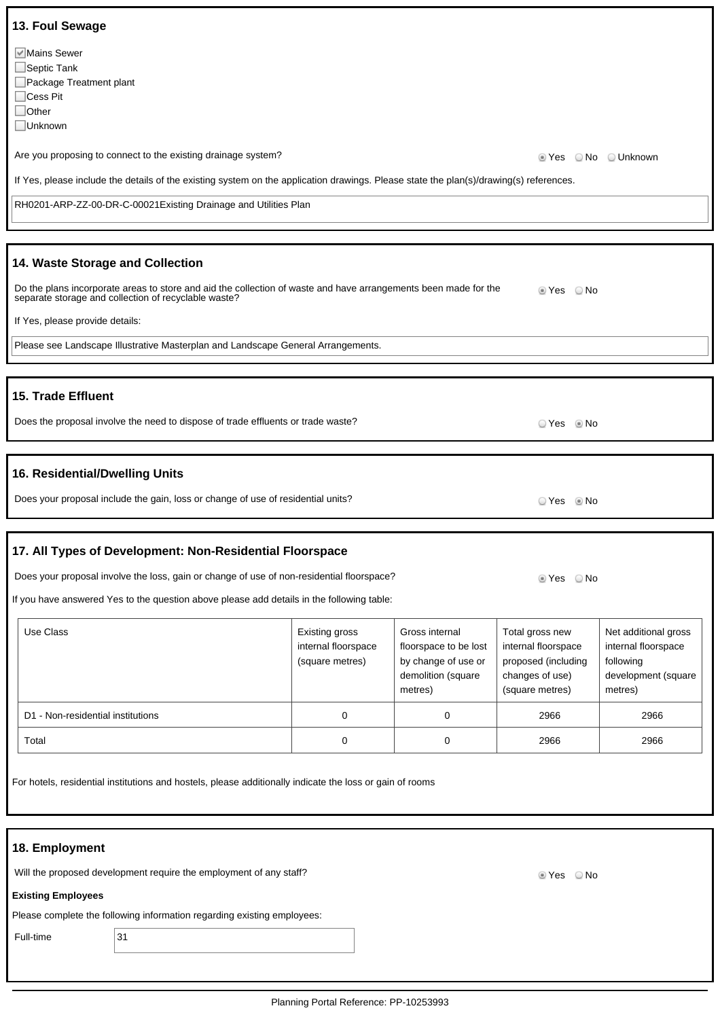| 13. Foul Sewage                                                                                                                                                         |                                                          |                                                                                                 |                                                                                                     |                                                                                            |
|-------------------------------------------------------------------------------------------------------------------------------------------------------------------------|----------------------------------------------------------|-------------------------------------------------------------------------------------------------|-----------------------------------------------------------------------------------------------------|--------------------------------------------------------------------------------------------|
| Mains Sewer<br>$\Box$ Septic Tank<br>Package Treatment plant<br>$\Box$ Cess Pit<br>$\Box$ Other<br>Unknown                                                              |                                                          |                                                                                                 |                                                                                                     |                                                                                            |
| Are you proposing to connect to the existing drainage system?                                                                                                           |                                                          |                                                                                                 | t Yes                                                                                               | ○ No △ Unknown                                                                             |
| If Yes, please include the details of the existing system on the application drawings. Please state the plan(s)/drawing(s) references.                                  |                                                          |                                                                                                 |                                                                                                     |                                                                                            |
| RH0201-ARP-ZZ-00-DR-C-00021 Existing Drainage and Utilities Plan                                                                                                        |                                                          |                                                                                                 |                                                                                                     |                                                                                            |
|                                                                                                                                                                         |                                                          |                                                                                                 |                                                                                                     |                                                                                            |
| 14. Waste Storage and Collection                                                                                                                                        |                                                          |                                                                                                 |                                                                                                     |                                                                                            |
| Do the plans incorporate areas to store and aid the collection of waste and have arrangements been made for the<br>separate storage and collection of recyclable waste? |                                                          |                                                                                                 | tes ONo                                                                                             |                                                                                            |
| If Yes, please provide details:                                                                                                                                         |                                                          |                                                                                                 |                                                                                                     |                                                                                            |
| Please see Landscape Illustrative Masterplan and Landscape General Arrangements.                                                                                        |                                                          |                                                                                                 |                                                                                                     |                                                                                            |
|                                                                                                                                                                         |                                                          |                                                                                                 |                                                                                                     |                                                                                            |
| 15. Trade Effluent                                                                                                                                                      |                                                          |                                                                                                 |                                                                                                     |                                                                                            |
| Does the proposal involve the need to dispose of trade effluents or trade waste?                                                                                        |                                                          |                                                                                                 | ○ Yes ◎ No                                                                                          |                                                                                            |
|                                                                                                                                                                         |                                                          |                                                                                                 |                                                                                                     |                                                                                            |
| 16. Residential/Dwelling Units<br>Does your proposal include the gain, loss or change of use of residential units?                                                      |                                                          |                                                                                                 |                                                                                                     |                                                                                            |
|                                                                                                                                                                         |                                                          |                                                                                                 | ○ Yes<br>l No                                                                                       |                                                                                            |
| 17. All Types of Development: Non-Residential Floorspace                                                                                                                |                                                          |                                                                                                 |                                                                                                     |                                                                                            |
| Does your proposal involve the loss, gain or change of use of non-residential floorspace?                                                                               |                                                          |                                                                                                 | ○ No<br>t Yes                                                                                       |                                                                                            |
| If you have answered Yes to the question above please add details in the following table:                                                                               |                                                          |                                                                                                 |                                                                                                     |                                                                                            |
| Use Class                                                                                                                                                               | Existing gross<br>internal floorspace<br>(square metres) | Gross internal<br>floorspace to be lost<br>by change of use or<br>demolition (square<br>metres) | Total gross new<br>internal floorspace<br>proposed (including<br>changes of use)<br>(square metres) | Net additional gross<br>internal floorspace<br>following<br>development (square<br>metres) |
| D1 - Non-residential institutions                                                                                                                                       | $\mathbf 0$                                              | $\mathbf 0$                                                                                     | 2966                                                                                                | 2966                                                                                       |
| Total                                                                                                                                                                   | 0                                                        | 0                                                                                               | 2966                                                                                                | 2966                                                                                       |
| For hotels, residential institutions and hostels, please additionally indicate the loss or gain of rooms                                                                |                                                          |                                                                                                 |                                                                                                     |                                                                                            |
|                                                                                                                                                                         |                                                          |                                                                                                 |                                                                                                     |                                                                                            |
| 18. Employment<br>Will the proposed development require the employment of any staff?                                                                                    |                                                          |                                                                                                 |                                                                                                     |                                                                                            |
| <b>Existing Employees</b>                                                                                                                                               |                                                          |                                                                                                 | Yes No                                                                                              |                                                                                            |
| Please complete the following information regarding existing employees:                                                                                                 |                                                          |                                                                                                 |                                                                                                     |                                                                                            |
| 31<br>Full-time                                                                                                                                                         |                                                          |                                                                                                 |                                                                                                     |                                                                                            |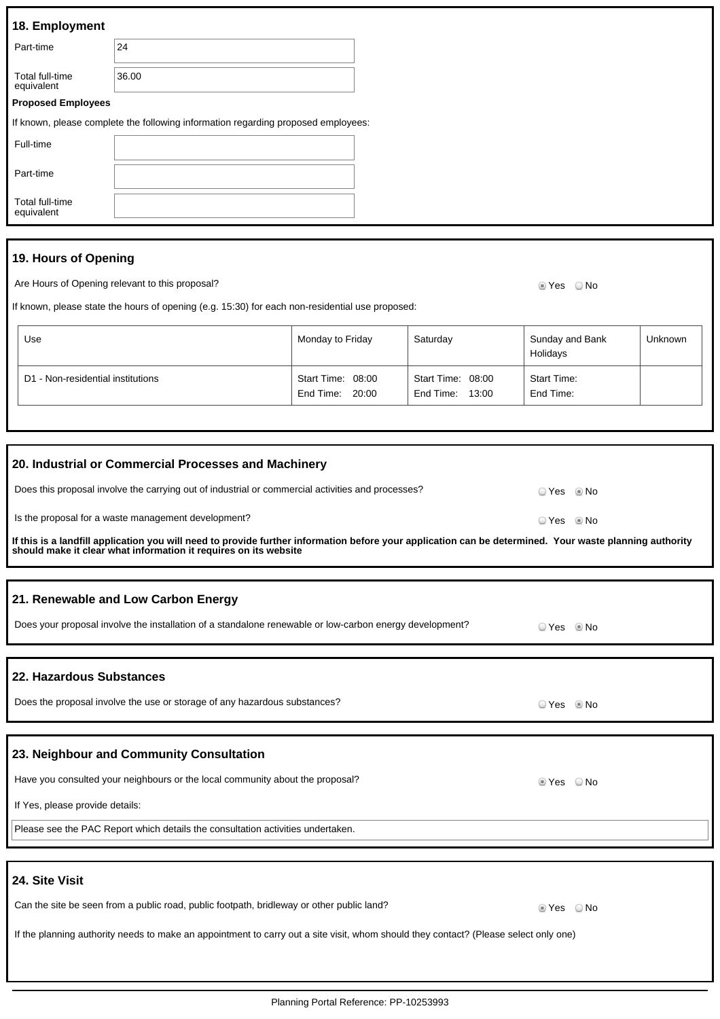| 18. Employment                |                                                                                   |  |
|-------------------------------|-----------------------------------------------------------------------------------|--|
| Part-time                     | 24                                                                                |  |
| Total full-time<br>equivalent | 36.00                                                                             |  |
| <b>Proposed Employees</b>     |                                                                                   |  |
|                               | If known, please complete the following information regarding proposed employees: |  |
| Full-time                     |                                                                                   |  |
| Part-time                     |                                                                                   |  |
| Total full-time<br>equivalent |                                                                                   |  |
|                               |                                                                                   |  |

# **19. Hours of Opening**

Are Hours of Opening relevant to this proposal? Are not all the state of the Second Vesting of No

If known, please state the hours of opening (e.g. 15:30) for each non-residential use proposed:

| Use                               | Monday to Friday                     | Saturday                                | Sunday and Bank<br>Holidays | <b>Unknown</b> |
|-----------------------------------|--------------------------------------|-----------------------------------------|-----------------------------|----------------|
| D1 - Non-residential institutions | Start Time: 08:00<br>End Time: 20:00 | Start Time: 08:00<br>End Time:<br>13:00 | Start Time:<br>End Time:    |                |

| 20. Industrial or Commercial Processes and Machinery                                                                                                                                                                        |              |  |
|-----------------------------------------------------------------------------------------------------------------------------------------------------------------------------------------------------------------------------|--------------|--|
| Does this proposal involve the carrying out of industrial or commercial activities and processes?                                                                                                                           | O Yes . I No |  |
| Is the proposal for a waste management development?                                                                                                                                                                         | ○ Yes ◎ No   |  |
| If this is a landfill application you will need to provide further information before your application can be determined. Your waste planning authority<br>should make it clear what information it requires on its website |              |  |
|                                                                                                                                                                                                                             |              |  |
| 21. Renewable and Low Carbon Energy                                                                                                                                                                                         |              |  |
| Does your proposal involve the installation of a standalone renewable or low-carbon energy development?                                                                                                                     |              |  |
|                                                                                                                                                                                                                             |              |  |
| 22. Hazardous Substances                                                                                                                                                                                                    |              |  |
| Does the proposal involve the use or storage of any hazardous substances?                                                                                                                                                   | ○ Yes ◎ No   |  |
|                                                                                                                                                                                                                             |              |  |
| 23. Neighbour and Community Consultation                                                                                                                                                                                    |              |  |
| Have you consulted your neighbours or the local community about the proposal?                                                                                                                                               | ■ Yes □ No   |  |
| If Yes, please provide details:                                                                                                                                                                                             |              |  |
| Please see the PAC Report which details the consultation activities undertaken.                                                                                                                                             |              |  |
|                                                                                                                                                                                                                             |              |  |
| 24. Site Visit                                                                                                                                                                                                              |              |  |
| Can the site be seen from a public road, public footpath, bridleway or other public land?                                                                                                                                   | ■ Yes □ No   |  |
| If the planning authority needs to make an appointment to carry out a site visit, whom should they contact? (Please select only one)                                                                                        |              |  |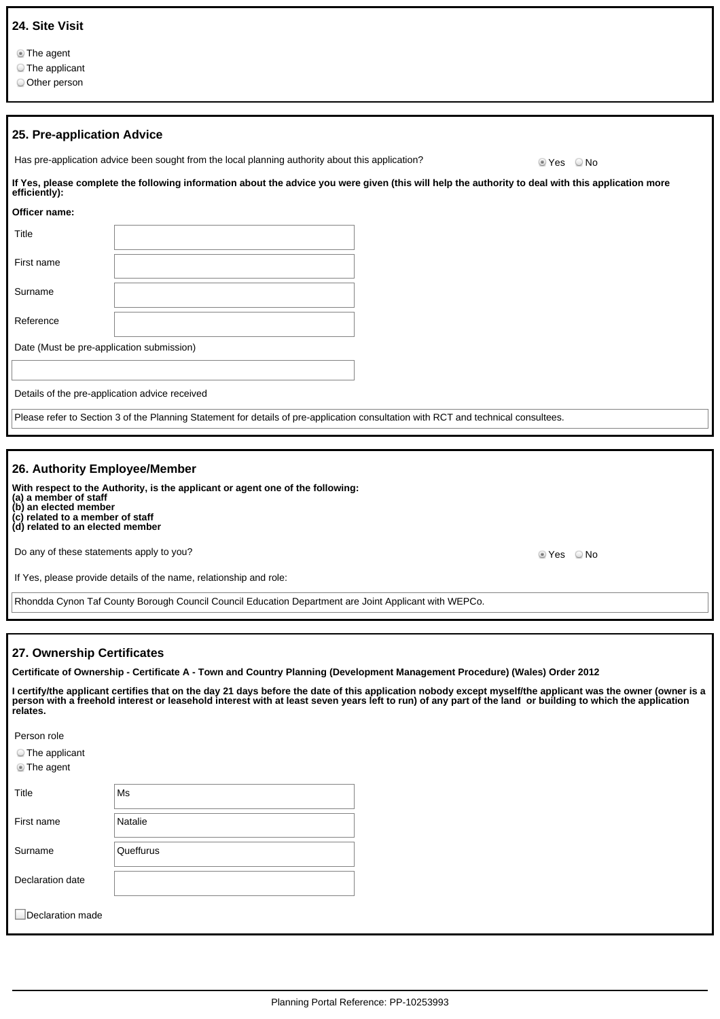|  | 24. Site Visit |
|--|----------------|
|  |                |

The agent

The applicant

Other person

| 25. Pre-application Advice                     |                                                                                                                                                    |         |
|------------------------------------------------|----------------------------------------------------------------------------------------------------------------------------------------------------|---------|
|                                                | Has pre-application advice been sought from the local planning authority about this application?                                                   | tes ONo |
| efficiently):                                  | If Yes, please complete the following information about the advice you were given (this will help the authority to deal with this application more |         |
| Officer name:                                  |                                                                                                                                                    |         |
| Title                                          |                                                                                                                                                    |         |
| First name                                     |                                                                                                                                                    |         |
| Surname                                        |                                                                                                                                                    |         |
| Reference                                      |                                                                                                                                                    |         |
| Date (Must be pre-application submission)      |                                                                                                                                                    |         |
|                                                |                                                                                                                                                    |         |
| Details of the pre-application advice received |                                                                                                                                                    |         |
|                                                | Please refer to Section 3 of the Planning Statement for details of pre-application consultation with RCT and technical consultees.                 |         |
|                                                |                                                                                                                                                    |         |

#### **26. Authority Employee/Member**

**With respect to the Authority, is the applicant or agent one of the following:**

**(a) a member of staff (b) an elected member (c) related to a member of staff**

**(d) related to an elected member**

Do any of these statements apply to you? The set of the set of the set of the set of the set of the SNo No No

If Yes, please provide details of the name, relationship and role:

Rhondda Cynon Taf County Borough Council Council Education Department are Joint Applicant with WEPCo.

### **27. Ownership Certificates**

**Certificate of Ownership - Certificate A - Town and Country Planning (Development Management Procedure) (Wales) Order 2012**

**I certify/the applicant certifies that on the day 21 days before the date of this application nobody except myself/the applicant was the owner (owner is a person with a freehold interest or leasehold interest with at least seven years left to run) of any part of the land or building to which the application relates.**

Person role

The applicant

The agent

| Title            | Ms        |
|------------------|-----------|
| First name       | Natalie   |
| Surname          | Queffurus |
| Declaration date |           |
| Declaration made |           |